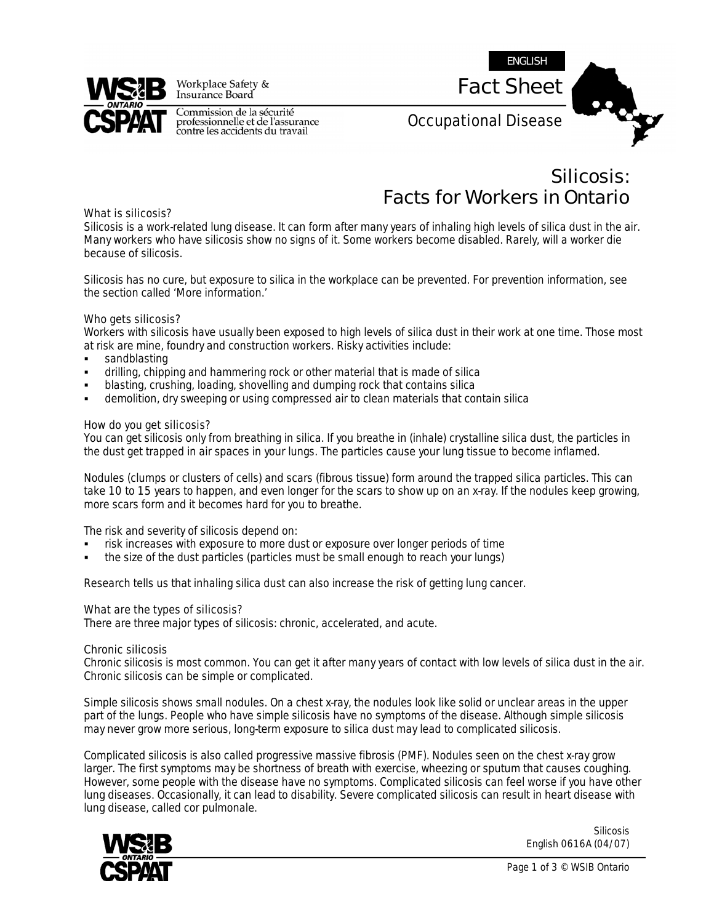

Workplace Safety & Insurance Board

Commission de la sécurité<br>professionnelle et de l'assurance<br>contre les accidents du travail



*Silicosis: Facts for Workers in Ontario* 

## *What is silicosis?*

Silicosis is a work-related lung disease. It can form after many years of inhaling high levels of silica dust in the air. Many workers who have silicosis show no signs of it. Some workers become disabled. Rarely, will a worker die because of silicosis.

Silicosis has no cure, but exposure to silica in the workplace can be prevented. For prevention information, see the section called 'More information.'

# *Who gets silicosis?*

Workers with silicosis have usually been exposed to high levels of silica dust in their work at one time. Those most at risk are mine, foundry and construction workers. Risky activities include:

- sandblasting
- drilling, chipping and hammering rock or other material that is made of silica
- blasting, crushing, loading, shovelling and dumping rock that contains silica
- demolition, dry sweeping or using compressed air to clean materials that contain silica

## *How do you get silicosis?*

You can get silicosis only from breathing in silica. If you breathe in (inhale) crystalline silica dust, the particles in the dust get trapped in air spaces in your lungs. The particles cause your lung tissue to become inflamed.

Nodules (clumps or clusters of cells) and scars (fibrous tissue) form around the trapped silica particles. This can take 10 to 15 years to happen, and even longer for the scars to show up on an x-ray. If the nodules keep growing, more scars form and it becomes hard for you to breathe.

The risk and severity of silicosis depend on:

- risk increases with exposure to more dust or exposure over longer periods of time
- the size of the dust particles (particles must be small enough to reach your lungs)

Research tells us that inhaling silica dust can also increase the risk of getting lung cancer.

## *What are the types of silicosis?*

There are three major types of silicosis: chronic, accelerated, and acute.

## Chronic silicosis

Chronic silicosis is most common. You can get it after many years of contact with low levels of silica dust in the air. Chronic silicosis can be simple or complicated.

*Simple silicosis* shows small nodules. On a chest x-ray, the nodules look like solid or unclear areas in the upper part of the lungs. People who have simple silicosis have no symptoms of the disease. Although simple silicosis may never grow more serious, long-term exposure to silica dust may lead to complicated silicosis.

*Complicated silicosis* is also called progressive massive fibrosis (PMF). Nodules seen on the chest x-ray grow larger. The first symptoms may be shortness of breath with exercise, wheezing or sputum that causes coughing. However, some people with the disease have no symptoms. Complicated silicosis can feel worse if you have other lung diseases. Occasionally, it can lead to disability. Severe complicated silicosis can result in heart disease with lung disease, called cor pulmonale.



Silicosis English 0616A (04/07)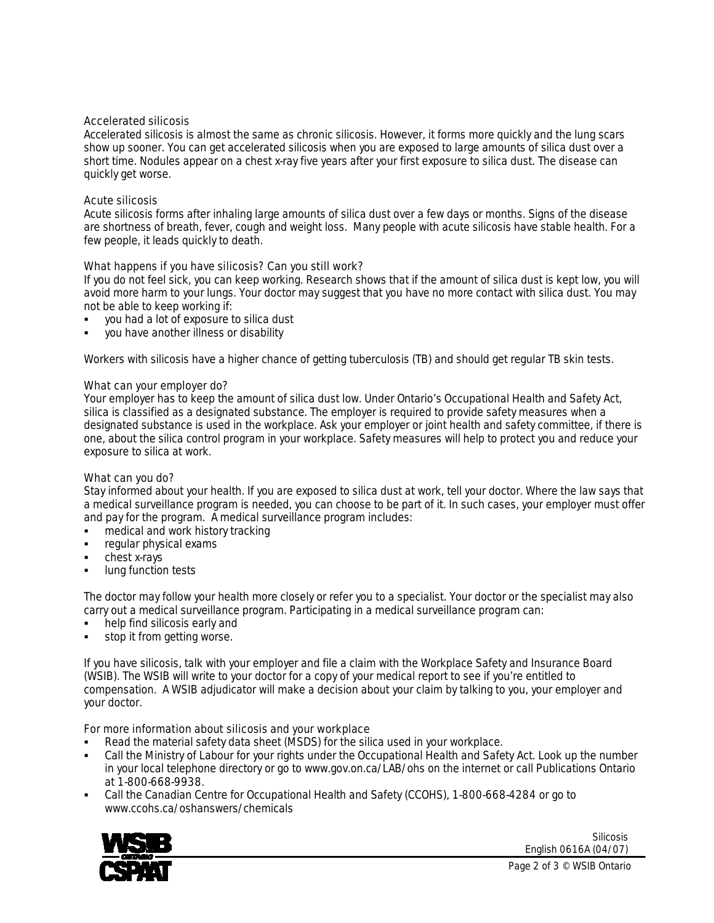## Accelerated silicosis

Accelerated silicosis is almost the same as chronic silicosis. However, it forms more quickly and the lung scars show up sooner. You can get accelerated silicosis when you are exposed to large amounts of silica dust over a short time. Nodules appear on a chest x-ray five years after your first exposure to silica dust. The disease can quickly get worse.

## Acute silicosis

Acute silicosis forms after inhaling large amounts of silica dust over a few days or months. Signs of the disease are shortness of breath, fever, cough and weight loss. Many people with acute silicosis have stable health. For a few people, it leads quickly to death.

# *What happens if you have silicosis*? Can you still work?

If you do not feel sick, you can keep working. Research shows that if the amount of silica dust is kept low, you will avoid more harm to your lungs. Your doctor may suggest that you have no more contact with silica dust. You may not be able to keep working if:

- you had a lot of exposure to silica dust
- you have another illness or disability

Workers with silicosis have a higher chance of getting tuberculosis (TB) and should get regular TB skin tests.

# *What can your employer do?*

Your employer has to keep the amount of silica dust low. Under Ontario's *Occupational Health and Safety Act*, silica is classified as a designated substance. The employer is required to provide safety measures when a designated substance is used in the workplace. Ask your employer or joint health and safety committee, if there is one, about the silica control program in your workplace. Safety measures will help to protect you and reduce your exposure to silica at work.

## *What can you do?*

Stay informed about your health. If you are exposed to silica dust at work, tell your doctor. Where the law says that a medical surveillance program is needed, you can choose to be part of it. In such cases, your employer must offer and pay for the program. A medical surveillance program includes:

- medical and work history tracking
- regular physical exams
- chest x-rays
- lung function tests

The doctor may follow your health more closely or refer you to a specialist. Your doctor or the specialist may also carry out a medical surveillance program. Participating in a medical surveillance program can:

- help find silicosis early and
- stop it from getting worse.

If you have silicosis, talk with your employer and file a claim with the Workplace Safety and Insurance Board (WSIB). The WSIB will write to your doctor for a copy of your medical report to see if you're entitled to compensation. A WSIB adjudicator will make a decision about your claim by talking to you, your employer and your doctor.

## *For more information about silicosis and your workplace*

- Read the material safety data sheet (MSDS) for the silica used in your workplace.
- Call the Ministry of Labour for your rights under the *Occupational Health and Safety Act*. Look up the number in your local telephone directory or go to www.gov.on.ca/LAB/ohs on the internet or call Publications Ontario at 1-800-668-9938.
- Call the Canadian Centre for Occupational Health and Safety (CCOHS), 1-800-668-4284 or go to www.ccohs.ca/oshanswers/chemicals



Silicosis English 0616A (04/07)